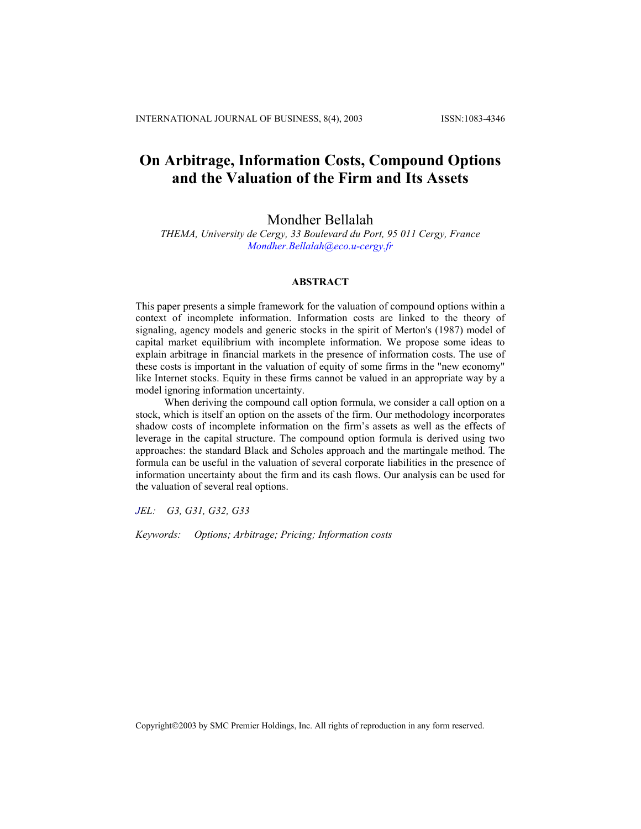# **On Arbitrage, Information Costs, Compound Options and the Valuation of the Firm and Its Assets**

# Mondher Bellalah

*THEMA, University de Cergy, 33 Boulevard du Port, 95 011 Cergy, France [Mondher.Bellalah@eco.u-cergy.fr](mailto:Mondher.Bellalah@eco.u-cergy.fr)*

## **ABSTRACT**

This paper presents a simple framework for the valuation of compound options within a context of incomplete information. Information costs are linked to the theory of signaling, agency models and generic stocks in the spirit of Merton's (1987) model of capital market equilibrium with incomplete information. We propose some ideas to explain arbitrage in financial markets in the presence of information costs. The use of these costs is important in the valuation of equity of some firms in the "new economy" like Internet stocks. Equity in these firms cannot be valued in an appropriate way by a model ignoring information uncertainty.

When deriving the compound call option formula, we consider a call option on a stock, which is itself an option on the assets of the firm. Our methodology incorporates shadow costs of incomplete information on the firm's assets as well as the effects of leverage in the capital structure. The compound option formula is derived using two approaches: the standard Black and Scholes approach and the martingale method. The formula can be useful in the valuation of several corporate liabilities in the presence of information uncertainty about the firm and its cash flows. Our analysis can be used for the valuation of several real options.

*JEL: G3, G31, G32, G33* 

*Keywords: Options; Arbitrage; Pricing; Information costs*

Copyright©2003 by SMC Premier Holdings, Inc. All rights of reproduction in any form reserved.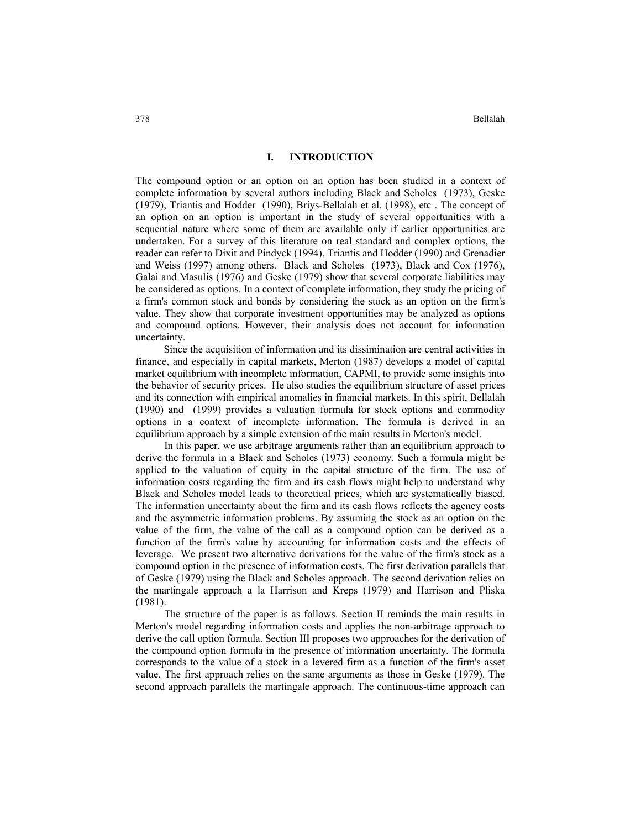### **I. INTRODUCTION**

The compound option or an option on an option has been studied in a context of complete information by several authors including Black and Scholes (1973), Geske (1979), Triantis and Hodder (1990), Briys-Bellalah et al. (1998), etc . The concept of an option on an option is important in the study of several opportunities with a sequential nature where some of them are available only if earlier opportunities are undertaken. For a survey of this literature on real standard and complex options, the reader can refer to Dixit and Pindyck (1994), Triantis and Hodder (1990) and Grenadier and Weiss (1997) among others. Black and Scholes (1973), Black and Cox (1976), Galai and Masulis (1976) and Geske (1979) show that several corporate liabilities may be considered as options. In a context of complete information, they study the pricing of a firm's common stock and bonds by considering the stock as an option on the firm's value. They show that corporate investment opportunities may be analyzed as options and compound options. However, their analysis does not account for information uncertainty.

 Since the acquisition of information and its dissimination are central activities in finance, and especially in capital markets, Merton (1987) develops a model of capital market equilibrium with incomplete information, CAPMI, to provide some insights into the behavior of security prices. He also studies the equilibrium structure of asset prices and its connection with empirical anomalies in financial markets. In this spirit, Bellalah (1990) and (1999) provides a valuation formula for stock options and commodity options in a context of incomplete information. The formula is derived in an equilibrium approach by a simple extension of the main results in Merton's model.

In this paper, we use arbitrage arguments rather than an equilibrium approach to derive the formula in a Black and Scholes (1973) economy. Such a formula might be applied to the valuation of equity in the capital structure of the firm. The use of information costs regarding the firm and its cash flows might help to understand why Black and Scholes model leads to theoretical prices, which are systematically biased. The information uncertainty about the firm and its cash flows reflects the agency costs and the asymmetric information problems. By assuming the stock as an option on the value of the firm, the value of the call as a compound option can be derived as a function of the firm's value by accounting for information costs and the effects of leverage. We present two alternative derivations for the value of the firm's stock as a compound option in the presence of information costs. The first derivation parallels that of Geske (1979) using the Black and Scholes approach. The second derivation relies on the martingale approach a la Harrison and Kreps (1979) and Harrison and Pliska (1981).

The structure of the paper is as follows. Section II reminds the main results in Merton's model regarding information costs and applies the non-arbitrage approach to derive the call option formula. Section III proposes two approaches for the derivation of the compound option formula in the presence of information uncertainty. The formula corresponds to the value of a stock in a levered firm as a function of the firm's asset value. The first approach relies on the same arguments as those in Geske (1979). The second approach parallels the martingale approach. The continuous-time approach can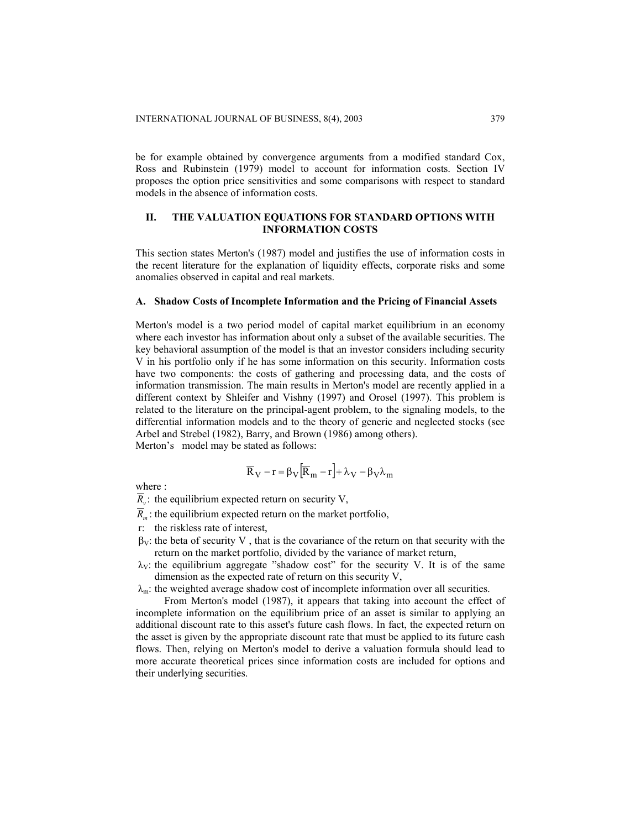be for example obtained by convergence arguments from a modified standard Cox, Ross and Rubinstein (1979) model to account for information costs. Section IV proposes the option price sensitivities and some comparisons with respect to standard models in the absence of information costs.

# **II. THE VALUATION EQUATIONS FOR STANDARD OPTIONS WITH INFORMATION COSTS**

This section states Merton's (1987) model and justifies the use of information costs in the recent literature for the explanation of liquidity effects, corporate risks and some anomalies observed in capital and real markets.

### **A. Shadow Costs of Incomplete Information and the Pricing of Financial Assets**

Merton's model is a two period model of capital market equilibrium in an economy where each investor has information about only a subset of the available securities. The key behavioral assumption of the model is that an investor considers including security V in his portfolio only if he has some information on this security. Information costs have two components: the costs of gathering and processing data, and the costs of information transmission. The main results in Merton's model are recently applied in a different context by Shleifer and Vishny (1997) and Orosel (1997). This problem is related to the literature on the principal-agent problem, to the signaling models, to the differential information models and to the theory of generic and neglected stocks (see Arbel and Strebel (1982), Barry, and Brown (1986) among others). Merton's model may be stated as follows:

$$
\overline{R}_{V}-r=\beta_{V}\Big[\overline{R}_{m}-r\Big]+\lambda_{V}-\beta_{V}\lambda_{m}
$$

where  $\cdot$ 

 $\overline{R}_{\nu}$ : the equilibrium expected return on security V,

- $\overline{R}_m$ : the equilibrium expected return on the market portfolio,
- r: the riskless rate of interest,
- $\beta_V$ : the beta of security V, that is the covariance of the return on that security with the return on the market portfolio, divided by the variance of market return,
- $\lambda_V$ : the equilibrium aggregate "shadow cost" for the security V. It is of the same dimension as the expected rate of return on this security V,

 $\lambda_m$ : the weighted average shadow cost of incomplete information over all securities.

From Merton's model (1987), it appears that taking into account the effect of incomplete information on the equilibrium price of an asset is similar to applying an additional discount rate to this asset's future cash flows. In fact, the expected return on the asset is given by the appropriate discount rate that must be applied to its future cash flows. Then, relying on Merton's model to derive a valuation formula should lead to more accurate theoretical prices since information costs are included for options and their underlying securities.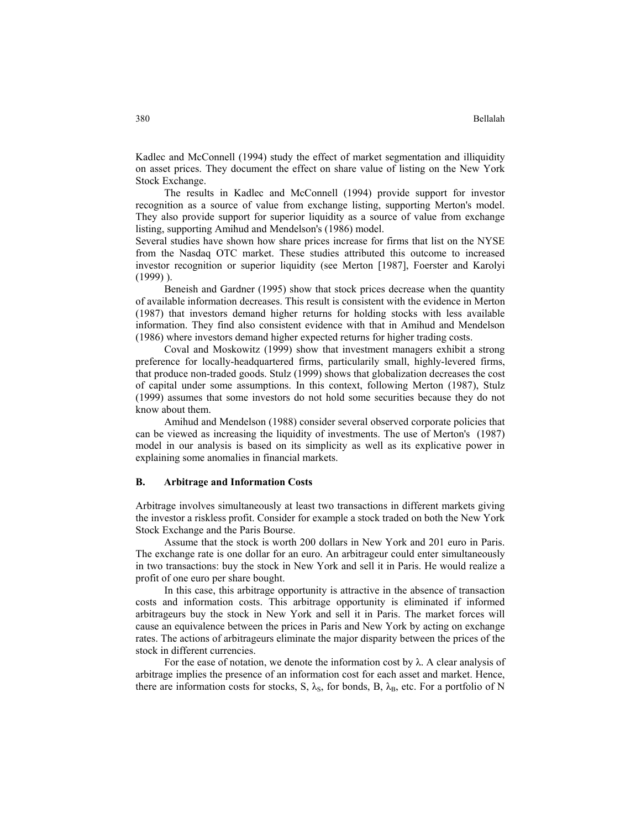Kadlec and McConnell (1994) study the effect of market segmentation and illiquidity on asset prices. They document the effect on share value of listing on the New York Stock Exchange.

The results in Kadlec and McConnell (1994) provide support for investor recognition as a source of value from exchange listing, supporting Merton's model. They also provide support for superior liquidity as a source of value from exchange listing, supporting Amihud and Mendelson's (1986) model.

Several studies have shown how share prices increase for firms that list on the NYSE from the Nasdaq OTC market. These studies attributed this outcome to increased investor recognition or superior liquidity (see Merton [1987], Foerster and Karolyi (1999) ).

Beneish and Gardner (1995) show that stock prices decrease when the quantity of available information decreases. This result is consistent with the evidence in Merton (1987) that investors demand higher returns for holding stocks with less available information. They find also consistent evidence with that in Amihud and Mendelson (1986) where investors demand higher expected returns for higher trading costs.

Coval and Moskowitz (1999) show that investment managers exhibit a strong preference for locally-headquartered firms, particularily small, highly-levered firms, that produce non-traded goods. Stulz (1999) shows that globalization decreases the cost of capital under some assumptions. In this context, following Merton (1987), Stulz (1999) assumes that some investors do not hold some securities because they do not know about them.

Amihud and Mendelson (1988) consider several observed corporate policies that can be viewed as increasing the liquidity of investments. The use of Merton's (1987) model in our analysis is based on its simplicity as well as its explicative power in explaining some anomalies in financial markets.

### **B. Arbitrage and Information Costs**

Arbitrage involves simultaneously at least two transactions in different markets giving the investor a riskless profit. Consider for example a stock traded on both the New York Stock Exchange and the Paris Bourse.

Assume that the stock is worth 200 dollars in New York and 201 euro in Paris. The exchange rate is one dollar for an euro. An arbitrageur could enter simultaneously in two transactions: buy the stock in New York and sell it in Paris. He would realize a profit of one euro per share bought.

In this case, this arbitrage opportunity is attractive in the absence of transaction costs and information costs. This arbitrage opportunity is eliminated if informed arbitrageurs buy the stock in New York and sell it in Paris. The market forces will cause an equivalence between the prices in Paris and New York by acting on exchange rates. The actions of arbitrageurs eliminate the major disparity between the prices of the stock in different currencies.

For the ease of notation, we denote the information cost by  $\lambda$ . A clear analysis of arbitrage implies the presence of an information cost for each asset and market. Hence, there are information costs for stocks, S,  $\lambda_{\rm S}$ , for bonds, B,  $\lambda_{\rm B}$ , etc. For a portfolio of N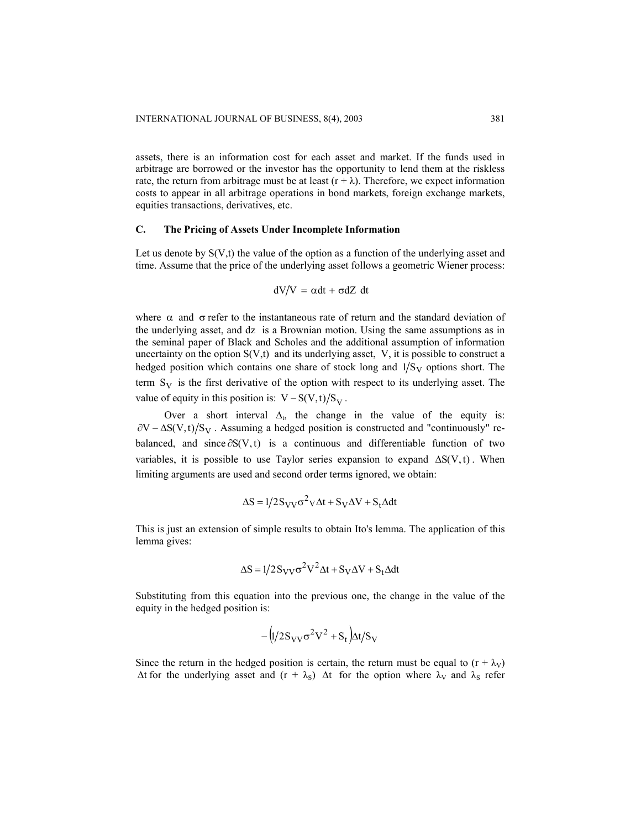assets, there is an information cost for each asset and market. If the funds used in arbitrage are borrowed or the investor has the opportunity to lend them at the riskless rate, the return from arbitrage must be at least  $(r + \lambda)$ . Therefore, we expect information costs to appear in all arbitrage operations in bond markets, foreign exchange markets, equities transactions, derivatives, etc.

### **C. The Pricing of Assets Under Incomplete Information**

Let us denote by  $S(V,t)$  the value of the option as a function of the underlying asset and time. Assume that the price of the underlying asset follows a geometric Wiener process:

$$
dV/V = \alpha dt + \sigma dZ dt
$$

where  $\alpha$  and  $\sigma$  refer to the instantaneous rate of return and the standard deviation of the underlying asset, and dz is a Brownian motion. Using the same assumptions as in the seminal paper of Black and Scholes and the additional assumption of information uncertainty on the option  $S(V,t)$  and its underlying asset, V, it is possible to construct a hedged position which contains one share of stock long and  $1/S_V$  options short. The term  $S_V$  is the first derivative of the option with respect to its underlying asset. The value of equity in this position is:  $V - S(V,t)/S_V$ .

Over a short interval  $\Delta_t$ , the change in the value of the equity is:  $\partial V - \Delta S(V,t)/S_V$ . Assuming a hedged position is constructed and "continuously" rebalanced, and since  $\partial S(V, t)$  is a continuous and differentiable function of two variables, it is possible to use Taylor series expansion to expand  $\Delta S(V, t)$ . When limiting arguments are used and second order terms ignored, we obtain:

$$
\Delta S = 1/2 S_{VV} \sigma^2 V \Delta t + S_V \Delta V + S_t \Delta dt
$$

This is just an extension of simple results to obtain Ito's lemma. The application of this lemma gives:

$$
\Delta S = 1/2 S_{VV} \sigma^2 V^2 \Delta t + S_V \Delta V + S_t \Delta dt
$$

Substituting from this equation into the previous one, the change in the value of the equity in the hedged position is:

$$
-\left(\frac{1}{2}S_{VV}\sigma^2V^2 + S_t\right)\Delta t/S_V
$$

Since the return in the hedged position is certain, the return must be equal to  $(r + \lambda_V)$  $\Delta t$  for the underlying asset and  $(r + \lambda_s)$   $\Delta t$  for the option where  $\lambda_V$  and  $\lambda_s$  refer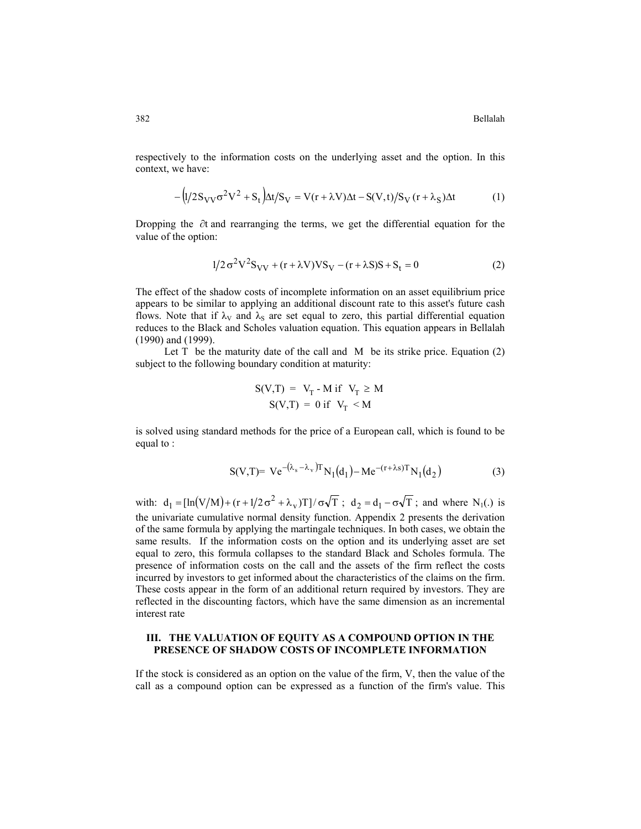382 Bellalah

respectively to the information costs on the underlying asset and the option. In this context, we have:

$$
-\left(\frac{1}{2}S_{VV}\sigma^2V^2 + S_t\right)\Delta t/S_V = V(r + \lambda V)\Delta t - S(V, t)/S_V(r + \lambda_S)\Delta t\tag{1}
$$

Dropping the  $\partial t$  and rearranging the terms, we get the differential equation for the value of the option:

$$
1/2\sigma^{2}V^{2}S_{VV} + (r + \lambda V)VS_{V} - (r + \lambda S)S + S_{t} = 0
$$
\n(2)

The effect of the shadow costs of incomplete information on an asset equilibrium price appears to be similar to applying an additional discount rate to this asset's future cash flows. Note that if  $\lambda_V$  and  $\lambda_S$  are set equal to zero, this partial differential equation reduces to the Black and Scholes valuation equation. This equation appears in Bellalah (1990) and (1999).

Let  $T$  be the maturity date of the call and  $M$  be its strike price. Equation (2) subject to the following boundary condition at maturity:

$$
S(V,T) = V_T - M \text{ if } V_T \ge M
$$
  

$$
S(V,T) = 0 \text{ if } V_T < M
$$

is solved using standard methods for the price of a European call, which is found to be equal to :

$$
S(V,T) = Ve^{-(\lambda_s - \lambda_v)T} N_1(d_1) - Me^{-(r+\lambda s)T} N_1(d_2)
$$
 (3)

with:  $d_1 = [\ln(V/M) + (r + 1/2 \sigma^2 + \lambda_V)T]/\sigma\sqrt{T}$ ;  $d_2 = d_1 - \sigma\sqrt{T}$ ; and where N<sub>1</sub>(.) is the univariate cumulative normal density function. Appendix 2 presents the derivation of the same formula by applying the martingale techniques. In both cases, we obtain the same results. If the information costs on the option and its underlying asset are set equal to zero, this formula collapses to the standard Black and Scholes formula. The presence of information costs on the call and the assets of the firm reflect the costs incurred by investors to get informed about the characteristics of the claims on the firm. These costs appear in the form of an additional return required by investors. They are reflected in the discounting factors, which have the same dimension as an incremental interest rate

### **III. THE VALUATION OF EQUITY AS A COMPOUND OPTION IN THE PRESENCE OF SHADOW COSTS OF INCOMPLETE INFORMATION**

If the stock is considered as an option on the value of the firm, V, then the value of the call as a compound option can be expressed as a function of the firm's value. This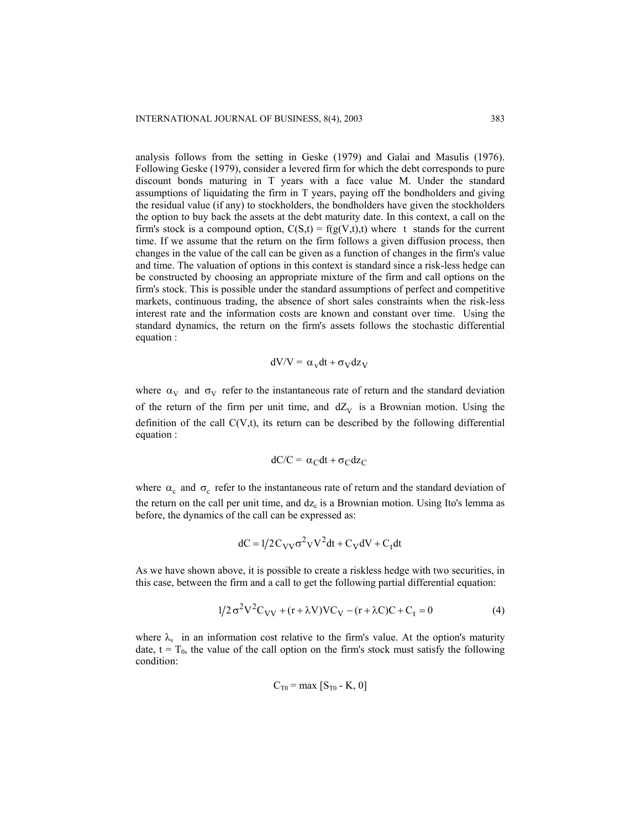analysis follows from the setting in Geske (1979) and Galai and Masulis (1976). Following Geske (1979), consider a levered firm for which the debt corresponds to pure discount bonds maturing in T years with a face value M. Under the standard assumptions of liquidating the firm in T years, paying off the bondholders and giving the residual value (if any) to stockholders, the bondholders have given the stockholders the option to buy back the assets at the debt maturity date. In this context, a call on the firm's stock is a compound option,  $C(S,t) = f(g(V,t),t)$  where t stands for the current time. If we assume that the return on the firm follows a given diffusion process, then changes in the value of the call can be given as a function of changes in the firm's value and time. The valuation of options in this context is standard since a risk-less hedge can be constructed by choosing an appropriate mixture of the firm and call options on the firm's stock. This is possible under the standard assumptions of perfect and competitive markets, continuous trading, the absence of short sales constraints when the risk-less interest rate and the information costs are known and constant over time. Using the standard dynamics, the return on the firm's assets follows the stochastic differential equation :

$$
dV/V = \alpha_v dt + \sigma_V dz_V
$$

where  $\alpha_V$  and  $\sigma_V$  refer to the instantaneous rate of return and the standard deviation of the return of the firm per unit time, and  $dZ_V$  is a Brownian motion. Using the definition of the call  $C(V,t)$ , its return can be described by the following differential equation :

$$
dC/C = \alpha_C dt + \sigma_C dz_C
$$

where  $\alpha_c$  and  $\sigma_c$  refer to the instantaneous rate of return and the standard deviation of the return on the call per unit time, and  $dz_c$  is a Brownian motion. Using Ito's lemma as before, the dynamics of the call can be expressed as:

$$
dC = 1/2 C_{VV} \sigma^2 V^2 dt + C_V dV + C_t dt
$$

As we have shown above, it is possible to create a riskless hedge with two securities, in this case, between the firm and a call to get the following partial differential equation:

$$
1/2\sigma^{2}V^{2}C_{VV} + (r + \lambda V)VC_{V} - (r + \lambda C)C + C_{t} = 0
$$
 (4)

where  $\lambda_v$  in an information cost relative to the firm's value. At the option's maturity date,  $t = T_0$ , the value of the call option on the firm's stock must satisfy the following condition:

$$
C_{T0} = \max [S_{T0} - K, 0]
$$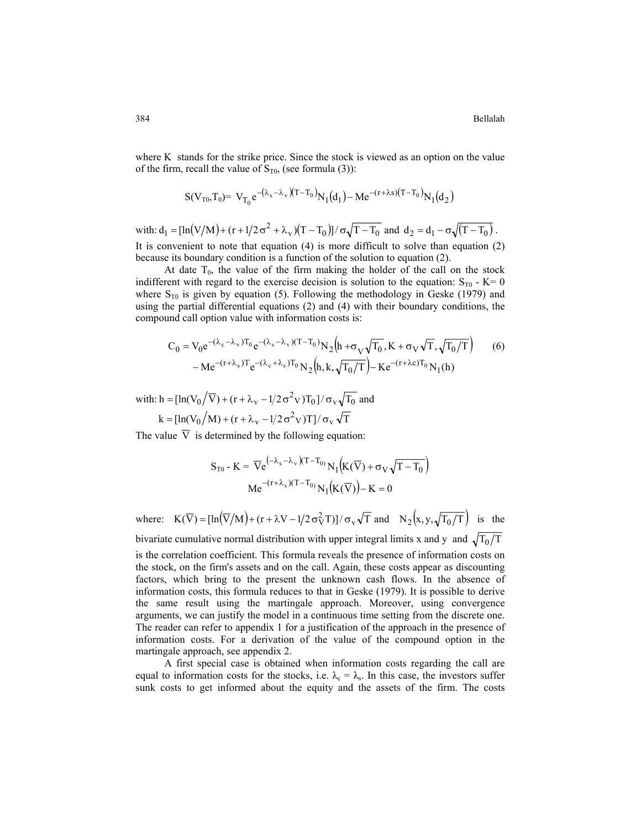where K stands for the strike price. Since the stock is viewed as an option on the value of the firm, recall the value of  $S_{T0}$ , (see formula (3)):

$$
S(V_{T0},T_0) = V_{T_0}e^{-(\lambda_s-\lambda_v)(T-T_0)}N_1(d_1) - Me^{-(r+\lambda s)(T-T_0)}N_1(d_2)
$$

with:  $d_1 = [\ln(V/M) + (r + 1/2 \sigma^2 + \lambda_V)(T - T_0)] / \sigma \sqrt{T - T_0}$  and  $d_2 = d_1 - \sigma \sqrt{(T - T_0)}$ . It is convenient to note that equation (4) is more difficult to solve than equation (2)

because its boundary condition is a function of the solution to equation (2). At date  $T_0$ , the value of the firm making the holder of the call on the stock indifferent with regard to the exercise decision is solution to the equation:  $S_{\text{TO}}$  - K= 0 where  $S_{T0}$  is given by equation (5). Following the methodology in Geske (1979) and using the partial differential equations (2) and (4) with their boundary conditions, the compound call option value with information costs is:

$$
C_0 = V_0 e^{-(\lambda_c - \lambda_v)T_0} e^{-(\lambda_s - \lambda_v)(T - T_0)} N_2 (h + \sigma_V \sqrt{T_0}, K + \sigma_V \sqrt{T_0}, \sqrt{T_0/T})
$$
(6)  
- Me<sup>-(r+\lambda\_s)T</sup> e<sup>-(\lambda\_c + \lambda\_s)T\_0</sup> N<sub>2</sub> (h, k,  $\sqrt{T_0/T}$ ) - Ke<sup>-(r+\lambda\_c)T\_0</sup> N<sub>1</sub>(h)

with:  $h = [\ln(V_0/\overline{V}) + (r + \lambda_V - 1/2 \sigma^2 V)T_0]/\sigma_V \sqrt{T_0}$  and  $k = \left[\ln(V_0 / M) + (r + \lambda_v - 1/2 \sigma^2 V)T\right]/\sigma_v \sqrt{T}$ 

The value  $\overline{V}$  is determined by the following equation:

$$
S_{T0} - K = \overline{V}e^{(-\lambda_s - \lambda_v)(T - T_0)} N_1(K(\overline{V}) + \sigma_V \sqrt{T - T_0})
$$
  
Me<sup>-(r+\lambda\_s)(T - T\_0) N\_1(K(\overline{V})) - K = 0</sup>

where:  $K(\overline{V}) = [\ln(\overline{V}/M) + (r + \lambda V - 1/2 \sigma_V^2 T)] / \sigma_V \sqrt{T}$  and  $N_2(x, y, \sqrt{T_0/T})$  is the

bivariate cumulative normal distribution with upper integral limits x and y and  $\sqrt{T_0/T_0}$ is the correlation coefficient. This formula reveals the presence of information costs on the stock, on the firm's assets and on the call. Again, these costs appear as discounting factors, which bring to the present the unknown cash flows. In the absence of information costs, this formula reduces to that in Geske (1979). It is possible to derive the same result using the martingale approach. Moreover, using convergence arguments, we can justify the model in a continuous time setting from the discrete one. The reader can refer to appendix 1 for a justification of the approach in the presence of information costs. For a derivation of the value of the compound option in the martingale approach, see appendix 2.

A first special case is obtained when information costs regarding the call are equal to information costs for the stocks, i.e.  $\lambda_c = \lambda_s$ . In this case, the investors suffer sunk costs to get informed about the equity and the assets of the firm. The costs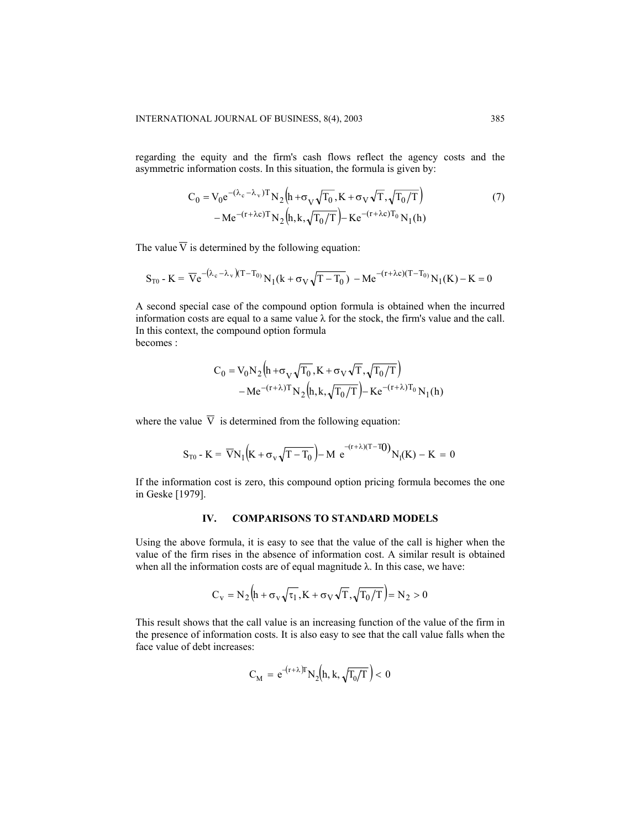regarding the equity and the firm's cash flows reflect the agency costs and the asymmetric information costs. In this situation, the formula is given by:

$$
C_0 = V_0 e^{-(\lambda_c - \lambda_v)T} N_2 (h + \sigma_V \sqrt{T_0}, K + \sigma_V \sqrt{T_0/T})
$$
  
- Me<sup>-(r+\lambda c)T</sup>N<sub>2</sub> (h, k,  $\sqrt{T_0/T}$ ) - Ke<sup>-(r+\lambda c)T\_0</sup>N<sub>1</sub>(h) (7)

The value  $\overline{V}$  is determined by the following equation:

$$
S_{T0} - K = \overline{V}e^{-(\lambda_c - \lambda_v)(T - T_0)} N_1(k + \sigma_V \sqrt{T - T_0}) - Me^{-(r + \lambda c)(T - T_0)} N_1(K) - K = 0
$$

A second special case of the compound option formula is obtained when the incurred information costs are equal to a same value  $\lambda$  for the stock, the firm's value and the call. In this context, the compound option formula becomes :

$$
C_0 = V_0 N_2 \left( h + \sigma_V \sqrt{T_0}, K + \sigma_V \sqrt{T}, \sqrt{T_0/T} \right)
$$

$$
-Me^{-(r+\lambda)T} N_2 \left( h, k, \sqrt{T_0/T} \right) - Ke^{-(r+\lambda)T_0} N_1(h)
$$

where the value  $\overline{V}$  is determined from the following equation:

$$
S_{T0}\text{ - }K\text{ = }\overline{V}N_{1}\Bigl(K+\sigma_{v}\sqrt{T-T_{0}}\Bigr)-M\ e^{-(r+\lambda)(T-T_{0})}N_{1}(K)\text{ - }K\text{ = }0
$$

If the information cost is zero, this compound option pricing formula becomes the one in Geske [1979].

# **IV. COMPARISONS TO STANDARD MODELS**

Using the above formula, it is easy to see that the value of the call is higher when the value of the firm rises in the absence of information cost. A similar result is obtained when all the information costs are of equal magnitude  $\lambda$ . In this case, we have:

$$
C_V = N_2 \Big( h + \sigma_V \sqrt{\tau_1} , K + \sigma_V \sqrt{T}, \sqrt{T_0/T} \Big) = N_2 > 0
$$

This result shows that the call value is an increasing function of the value of the firm in the presence of information costs. It is also easy to see that the call value falls when the face value of debt increases:

$$
C_M = e^{-(r+\lambda)T} N_2(h, k, \sqrt{T_0/T}) < 0
$$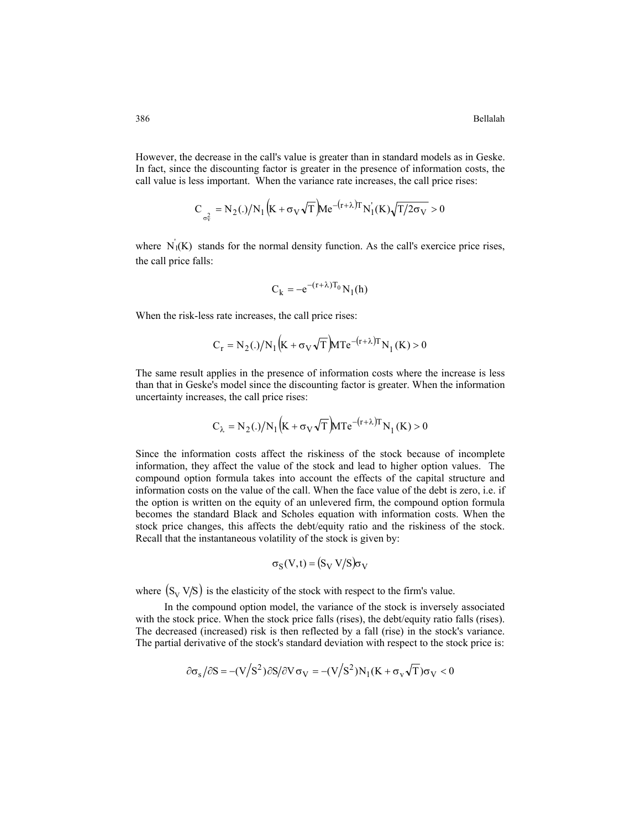However, the decrease in the call's value is greater than in standard models as in Geske. In fact, since the discounting factor is greater in the presence of information costs, the call value is less important. When the variance rate increases, the call price rises:

$$
C_{\sigma_{\rm V}^2} = N_2(.)/N_1 \left( K + \sigma_{\rm V} \sqrt{T} \right) M e^{-(r+\lambda)T} N_1(\rm K) \sqrt{T/2\sigma_{\rm V}} > 0
$$

where  $N_1(K)$  stands for the normal density function. As the call's exercice price rises, the call price falls:

$$
C_k = -e^{-(r+\lambda)T_0} N_1(h)
$$

When the risk-less rate increases, the call price rises:

$$
C_{r} = N_{2}(.)/N_{1}(K + \sigma_{V}\sqrt{T})MTe^{-(r+\lambda)T}N_{1}(K) > 0
$$

The same result applies in the presence of information costs where the increase is less than that in Geske's model since the discounting factor is greater. When the information uncertainty increases, the call price rises:

$$
C_{\lambda} = N_2(.)/N_1 \left(K + \sigma_V \sqrt{T}\right) M T e^{-(r + \lambda)T} N_1(K) > 0
$$

Since the information costs affect the riskiness of the stock because of incomplete information, they affect the value of the stock and lead to higher option values. The compound option formula takes into account the effects of the capital structure and information costs on the value of the call. When the face value of the debt is zero, i.e. if the option is written on the equity of an unlevered firm, the compound option formula becomes the standard Black and Scholes equation with information costs. When the stock price changes, this affects the debt/equity ratio and the riskiness of the stock. Recall that the instantaneous volatility of the stock is given by:

$$
\sigma_S(V,t) = (S_V \, V/S) \sigma_V
$$

where  $(S_v V/S)$  is the elasticity of the stock with respect to the firm's value.

In the compound option model, the variance of the stock is inversely associated with the stock price. When the stock price falls (rises), the debt/equity ratio falls (rises). The decreased (increased) risk is then reflected by a fall (rise) in the stock's variance. The partial derivative of the stock's standard deviation with respect to the stock price is:

$$
\partial \sigma_s / \partial S = -(V/S^2) \partial S / \partial V \sigma_V = -(V/S^2) N_1 (K + \sigma_v \sqrt{T}) \sigma_V < 0
$$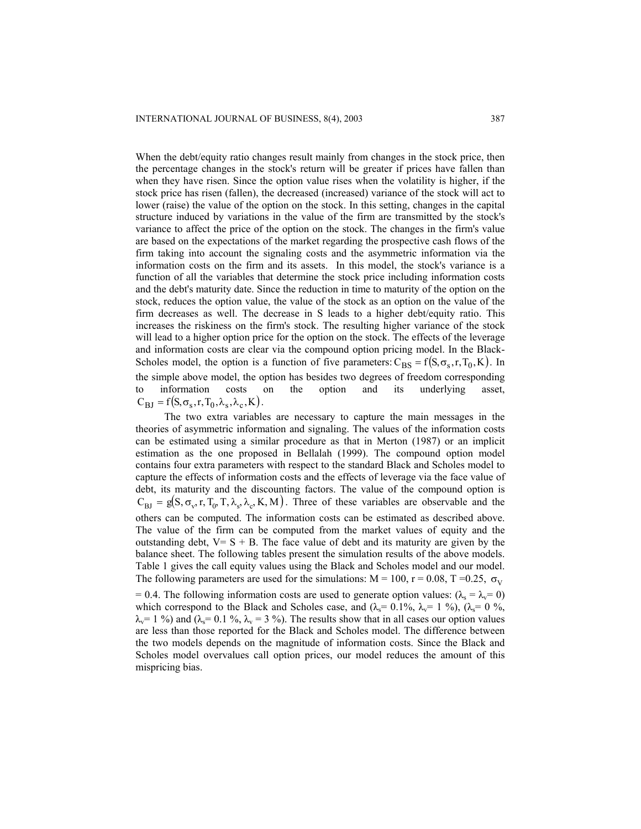When the debt/equity ratio changes result mainly from changes in the stock price, then the percentage changes in the stock's return will be greater if prices have fallen than when they have risen. Since the option value rises when the volatility is higher, if the stock price has risen (fallen), the decreased (increased) variance of the stock will act to lower (raise) the value of the option on the stock. In this setting, changes in the capital structure induced by variations in the value of the firm are transmitted by the stock's variance to affect the price of the option on the stock. The changes in the firm's value are based on the expectations of the market regarding the prospective cash flows of the firm taking into account the signaling costs and the asymmetric information via the information costs on the firm and its assets. In this model, the stock's variance is a function of all the variables that determine the stock price including information costs and the debt's maturity date. Since the reduction in time to maturity of the option on the stock, reduces the option value, the value of the stock as an option on the value of the firm decreases as well. The decrease in S leads to a higher debt/equity ratio. This increases the riskiness on the firm's stock. The resulting higher variance of the stock will lead to a higher option price for the option on the stock. The effects of the leverage and information costs are clear via the compound option pricing model. In the Black-Scholes model, the option is a function of five parameters:  $C_{BS} = f(S, \sigma_s, r, T_0, K)$ . In the simple above model, the option has besides two degrees of freedom corresponding to information costs on the option and its underlying asset,  $C_{\rm BJ} = f(S, \sigma_s, r, T_0, \lambda_s, \lambda_c, K)$ .

The two extra variables are necessary to capture the main messages in the theories of asymmetric information and signaling. The values of the information costs can be estimated using a similar procedure as that in Merton (1987) or an implicit estimation as the one proposed in Bellalah (1999). The compound option model contains four extra parameters with respect to the standard Black and Scholes model to capture the effects of information costs and the effects of leverage via the face value of debt, its maturity and the discounting factors. The value of the compound option is  $C_{BI} = g(S, \sigma_v, r, T_0, T, \lambda_s, \lambda_c, K, M)$ . Three of these variables are observable and the others can be computed. The information costs can be estimated as described above. The value of the firm can be computed from the market values of equity and the outstanding debt,  $V = S + B$ . The face value of debt and its maturity are given by the balance sheet. The following tables present the simulation results of the above models. Table 1 gives the call equity values using the Black and Scholes model and our model. The following parameters are used for the simulations:  $M = 100$ ,  $r = 0.08$ ,  $T = 0.25$ ,  $\sigma_V$ = 0.4. The following information costs are used to generate option values:  $(\lambda_s = \lambda_v = 0)$ which correspond to the Black and Scholes case, and  $(\lambda_s=0.1\%, \lambda_v=1\%)$ ,  $(\lambda_s=0\%$ ,

 $\lambda_v$  = 1 %) and ( $\lambda_s$  = 0.1 %,  $\lambda_v$  = 3 %). The results show that in all cases our option values are less than those reported for the Black and Scholes model. The difference between the two models depends on the magnitude of information costs. Since the Black and Scholes model overvalues call option prices, our model reduces the amount of this mispricing bias.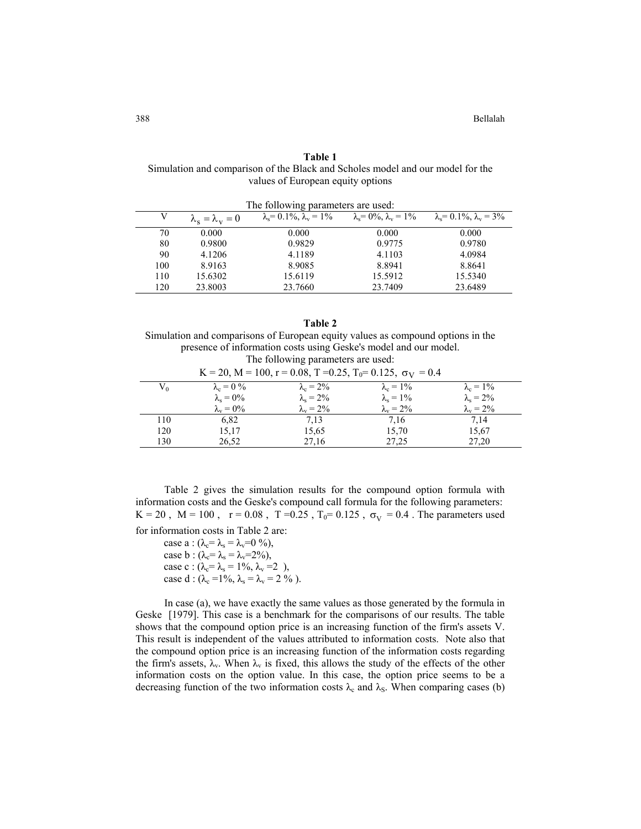| Table 1                                                                        |
|--------------------------------------------------------------------------------|
| Simulation and comparison of the Black and Scholes model and our model for the |
| values of European equity options                                              |

| The following parameters are used: |                                     |                                             |                                       |                                         |  |  |
|------------------------------------|-------------------------------------|---------------------------------------------|---------------------------------------|-----------------------------------------|--|--|
|                                    | $\lambda_{\rm s}=\lambda_{\rm v}=0$ | $\lambda_{s} = 0.1\%$ , $\lambda_{y} = 1\%$ | $\lambda_s = 0\%$ , $\lambda_v = 1\%$ | $\lambda_s = 0.1\%$ , $\lambda_v = 3\%$ |  |  |
| 70                                 | 0.000                               | 0.000                                       | 0.000                                 | 0.000                                   |  |  |
| 80                                 | 0.9800                              | 0.9829                                      | 0.9775                                | 0.9780                                  |  |  |
| 90                                 | 4.1206                              | 4.1189                                      | 4.1103                                | 4.0984                                  |  |  |
| 100                                | 8.9163                              | 8.9085                                      | 8.8941                                | 8.8641                                  |  |  |
| 110                                | 15.6302                             | 15.6119                                     | 15.5912                               | 15.5340                                 |  |  |
| 120                                | 23.8003                             | 23.7660                                     | 23.7409                               | 23.6489                                 |  |  |

**Table 2** Simulation and comparisons of European equity values as compound options in the presence of information costs using Geske's model and our model. The following parameters are used:

| $K = 20$ , $M = 100$ , $r = 0.08$ , $T = 0.25$ , $T_0 = 0.125$ , $\sigma_V = 0.4$ |                         |                         |                         |                         |  |  |
|-----------------------------------------------------------------------------------|-------------------------|-------------------------|-------------------------|-------------------------|--|--|
| $V_0$                                                                             | $\lambda_c = 0 \%$      | $\lambda_c = 2\%$       | $\lambda_c = 1\%$       | $\lambda_c = 1\%$       |  |  |
|                                                                                   | $\lambda_{\rm s}=0\%$   | $\lambda_{\rm s} = 2\%$ | $\lambda_{\rm s}=1\%$   | $\lambda_{\rm s} = 2\%$ |  |  |
|                                                                                   | $\lambda_{\rm v} = 0\%$ | $\lambda_{\rm v} = 2\%$ | $\lambda_{\rm v} = 2\%$ | $\lambda_{\rm v} = 2\%$ |  |  |
| 110                                                                               | 6,82                    | 7.13                    | 7,16                    | 7,14                    |  |  |
| 120                                                                               | 15,17                   | 15,65                   | 15,70                   | 15,67                   |  |  |
| 130                                                                               | 26,52                   | 27,16                   | 27,25                   | 27,20                   |  |  |

Table 2 gives the simulation results for the compound option formula with information costs and the Geske's compound call formula for the following parameters: K = 20, M = 100, r = 0.08, T = 0.25,  $T_0$  = 0.125,  $\sigma_V$  = 0.4. The parameters used for information costs in Table 2 are:

case a :  $(\lambda_c = \lambda_s = \lambda_v = 0 \%)$ , case b :  $(\lambda_c = \lambda_s = \lambda_v = 2\%)$ , case c :  $(\lambda_c = \lambda_s = 1\%, \lambda_v = 2)$ , case d :  $(\lambda_c = 1\%, \lambda_s = \lambda_v = 2\% )$ .

In case (a), we have exactly the same values as those generated by the formula in Geske [1979]. This case is a benchmark for the comparisons of our results. The table shows that the compound option price is an increasing function of the firm's assets V. This result is independent of the values attributed to information costs. Note also that the compound option price is an increasing function of the information costs regarding the firm's assets,  $\lambda_v$ . When  $\lambda_v$  is fixed, this allows the study of the effects of the other information costs on the option value. In this case, the option price seems to be a decreasing function of the two information costs  $\lambda_c$  and  $\lambda_s$ . When comparing cases (b)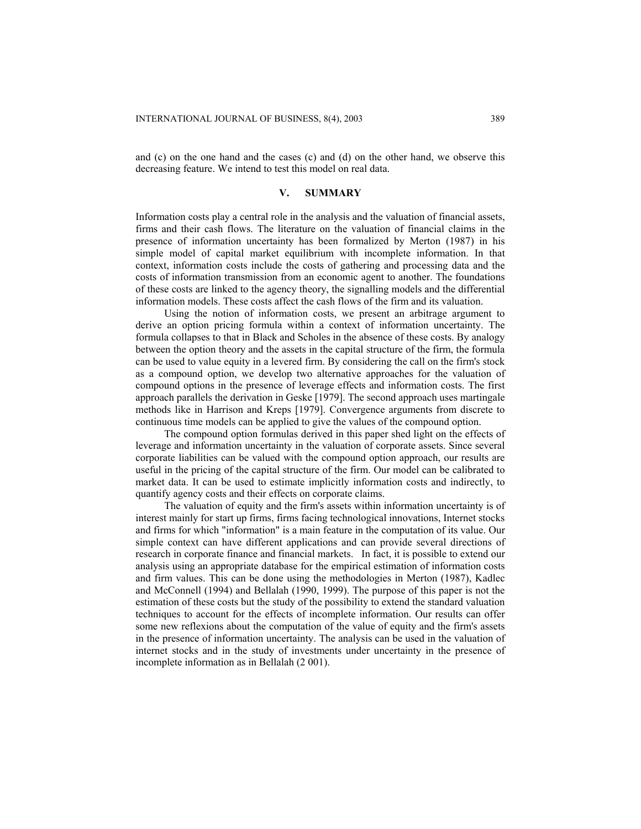and (c) on the one hand and the cases (c) and (d) on the other hand, we observe this decreasing feature. We intend to test this model on real data.

### **V. SUMMARY**

Information costs play a central role in the analysis and the valuation of financial assets, firms and their cash flows. The literature on the valuation of financial claims in the presence of information uncertainty has been formalized by Merton (1987) in his simple model of capital market equilibrium with incomplete information. In that context, information costs include the costs of gathering and processing data and the costs of information transmission from an economic agent to another. The foundations of these costs are linked to the agency theory, the signalling models and the differential information models. These costs affect the cash flows of the firm and its valuation.

Using the notion of information costs, we present an arbitrage argument to derive an option pricing formula within a context of information uncertainty. The formula collapses to that in Black and Scholes in the absence of these costs. By analogy between the option theory and the assets in the capital structure of the firm, the formula can be used to value equity in a levered firm. By considering the call on the firm's stock as a compound option, we develop two alternative approaches for the valuation of compound options in the presence of leverage effects and information costs. The first approach parallels the derivation in Geske [1979]. The second approach uses martingale methods like in Harrison and Kreps [1979]. Convergence arguments from discrete to continuous time models can be applied to give the values of the compound option.

The compound option formulas derived in this paper shed light on the effects of leverage and information uncertainty in the valuation of corporate assets. Since several corporate liabilities can be valued with the compound option approach, our results are useful in the pricing of the capital structure of the firm. Our model can be calibrated to market data. It can be used to estimate implicitly information costs and indirectly, to quantify agency costs and their effects on corporate claims.

The valuation of equity and the firm's assets within information uncertainty is of interest mainly for start up firms, firms facing technological innovations, Internet stocks and firms for which "information" is a main feature in the computation of its value. Our simple context can have different applications and can provide several directions of research in corporate finance and financial markets. In fact, it is possible to extend our analysis using an appropriate database for the empirical estimation of information costs and firm values. This can be done using the methodologies in Merton (1987), Kadlec and McConnell (1994) and Bellalah (1990, 1999). The purpose of this paper is not the estimation of these costs but the study of the possibility to extend the standard valuation techniques to account for the effects of incomplete information. Our results can offer some new reflexions about the computation of the value of equity and the firm's assets in the presence of information uncertainty. The analysis can be used in the valuation of internet stocks and in the study of investments under uncertainty in the presence of incomplete information as in Bellalah (2 001).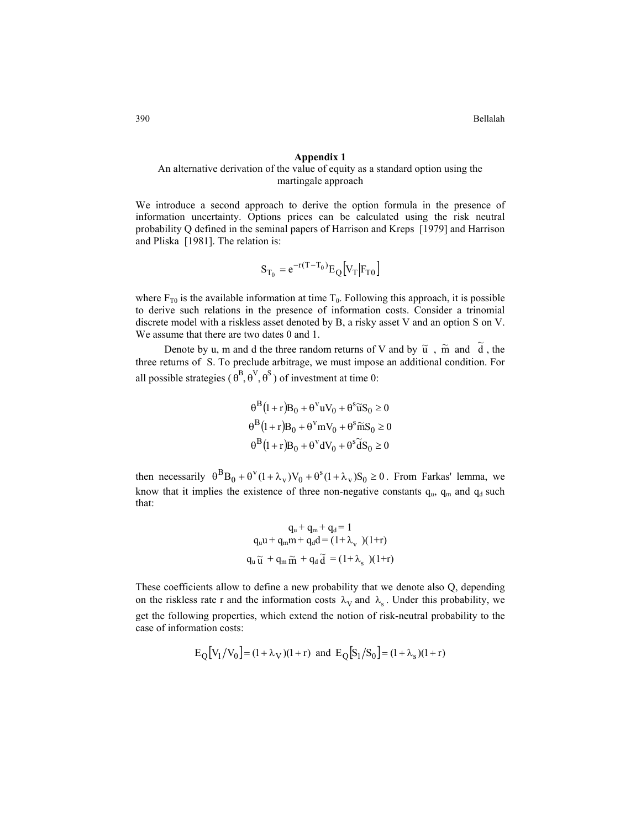### **Appendix 1**

## An alternative derivation of the value of equity as a standard option using the martingale approach

We introduce a second approach to derive the option formula in the presence of information uncertainty. Options prices can be calculated using the risk neutral probability Q defined in the seminal papers of Harrison and Kreps [1979] and Harrison and Pliska [1981]. The relation is:

$$
\mathbf{S}_{\mathrm{T}_0} = e^{-r(T - \mathrm{T}_0)} \mathbf{E}_{\mathrm{Q}} \left[ \mathbf{V}_{\mathrm{T}} | \mathbf{F}_{\mathrm{T}0} \right]
$$

where  $F_{T0}$  is the available information at time  $T_0$ . Following this approach, it is possible to derive such relations in the presence of information costs. Consider a trinomial discrete model with a riskless asset denoted by B, a risky asset V and an option S on V. We assume that there are two dates 0 and 1.

Denote by u, m and d the three random returns of V and by  $\tilde{u}$ ,  $\tilde{m}$  and  $\tilde{d}$ , the three returns of S. To preclude arbitrage, we must impose an additional condition. For all possible strategies ( $\theta^{B}, \theta^{V}, \theta^{S}$ ) of investment at time 0:

$$
\theta^{B}(1+r)B_{0} + \theta^{V}uV_{0} + \theta^{S}\widetilde{u}S_{0} \ge 0
$$
  

$$
\theta^{B}(1+r)B_{0} + \theta^{V}mV_{0} + \theta^{S}\widetilde{m}S_{0} \ge 0
$$
  

$$
\theta^{B}(1+r)B_{0} + \theta^{V}dV_{0} + \theta^{S}\widetilde{d}S_{0} \ge 0
$$

then necessarily  $\theta^B B_0 + \theta^V (1 + \lambda_V) V_0 + \theta^S (1 + \lambda_V) S_0 \ge 0$ . From Farkas' lemma, we know that it implies the existence of three non-negative constants  $q_u$ ,  $q_m$  and  $q_d$  such that:

$$
q_{u} + q_{m} + q_{d} = 1
$$
  
\n
$$
q_{u}u + q_{m}m + q_{d}d = (1 + \lambda_{v})(1+r)
$$
  
\n
$$
q_{u} \widetilde{u} + q_{m} \widetilde{m} + q_{d} \widetilde{d} = (1 + \lambda_{s})(1+r)
$$

These coefficients allow to define a new probability that we denote also Q, depending on the riskless rate r and the information costs  $\lambda_V$  and  $\lambda_s$ . Under this probability, we get the following properties, which extend the notion of risk-neutral probability to the case of information costs:

$$
E_Q[V_1/V_0] = (1 + \lambda_V)(1+r)
$$
 and  $E_Q[S_1/S_0] = (1 + \lambda_s)(1+r)$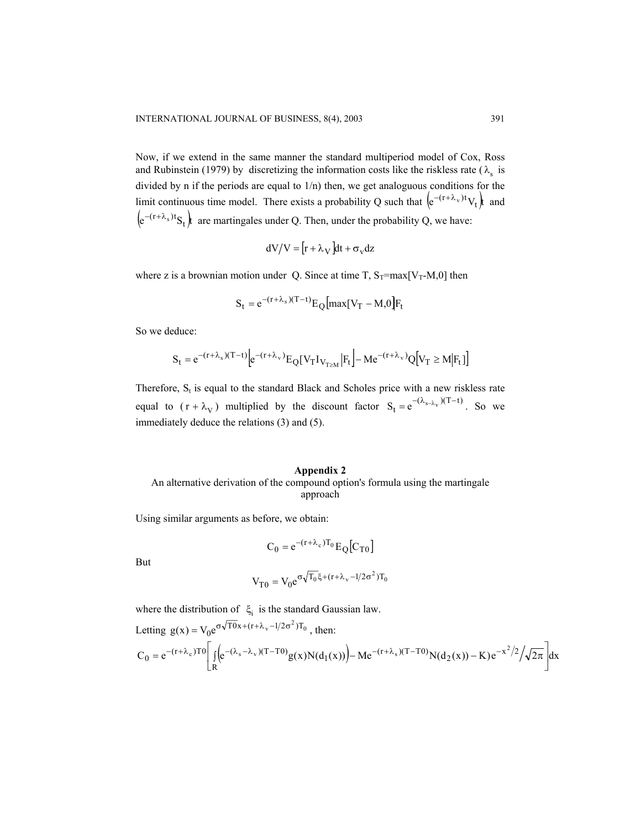Now, if we extend in the same manner the standard multiperiod model of Cox, Ross and Rubinstein (1979) by discretizing the information costs like the riskless rate ( $\lambda_s$  is divided by n if the periods are equal to 1/n) then, we get analoguous conditions for the limit continuous time model. There exists a probability Q such that  $(e^{-(r+\lambda_v)t}V_t)$  and  $(e^{-(r+\lambda_s)t}S_t)$  are martingales under Q. Then, under the probability Q, we have:

$$
dV/V = [r + \lambda_V]dt + \sigma_V dz
$$

where z is a brownian motion under Q. Since at time T,  $S_T = max[V_T-M,0]$  then

$$
S_t = e^{-(r+\lambda_s)(T-t)} E_Q \left[ max[V_T - M, 0]F_t \right]
$$

So we deduce:

$$
S_t = e^{-(r+\lambda_s)(T-t)} \Big| e^{-(r+\lambda_v)} E_Q[V_T I_{V_{T\geq M}} | F_t \Big] - M e^{-(r+\lambda_v)} Q[V_T \geq M | F_t] \Big]
$$

Therefore,  $S_t$  is equal to the standard Black and Scholes price with a new riskless rate equal to  $(r + \lambda_V)$  multiplied by the discount factor  $S_t = e^{-(\lambda_{s-\lambda_V})(T-t)}$ . So we immediately deduce the relations (3) and (5).

#### **Appendix 2**

### An alternative derivation of the compound option's formula using the martingale approach

Using similar arguments as before, we obtain:

$$
C_0 = e^{-(r+\lambda_c)T_0} E_Q[C_{T0}]
$$

But

$$
V_{T0} = V_0 e^{\sigma \sqrt{T_0} \xi + (r + \lambda_v - 1/2\sigma^2) T_0}
$$

where the distribution of  $\xi_i$  is the standard Gaussian law.

Letting 
$$
g(x) = V_0 e^{\sigma \sqrt{T0}x + (r + \lambda_v - 1/2\sigma^2)T_0}
$$
, then:  
\n
$$
C_0 = e^{-(r + \lambda_c)T0} \left[ \int_R (e^{-(\lambda_s - \lambda_v)(T - T0)} g(x) N(d_1(x))) - Me^{-(r + \lambda_s)(T - T0)} N(d_2(x)) - K) e^{-x^2/2} / \sqrt{2\pi} \right] dx
$$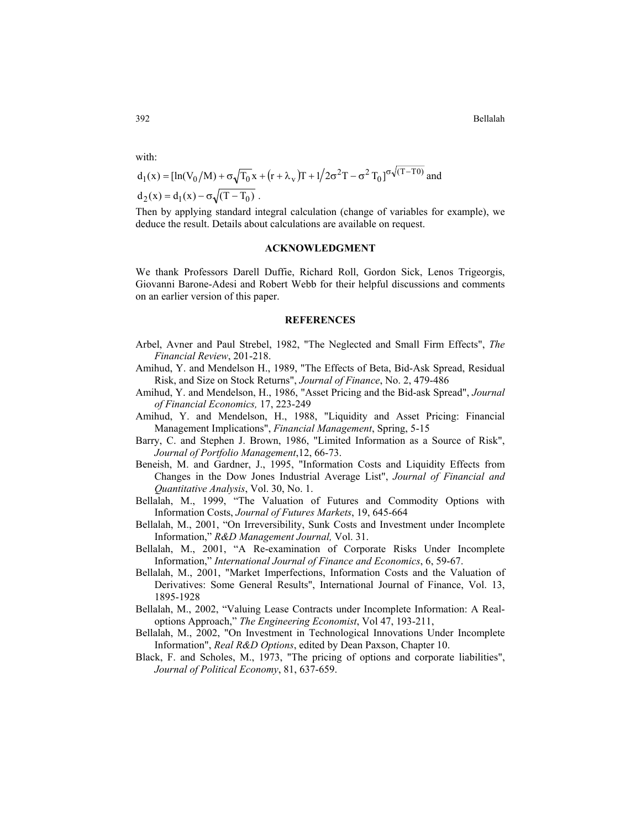392 Bellalah

with:

$$
d_1(x) = [\ln(V_0/M) + \sigma \sqrt{T_0} x + (r + \lambda_v)T + 1/2\sigma^2 T - \sigma^2 T_0]^{\sigma\sqrt{(T-T_0)}} \text{ and } d_2(x) = d_1(x) - \sigma \sqrt{(T-T_0)}.
$$

Then by applying standard integral calculation (change of variables for example), we deduce the result. Details about calculations are available on request.

### **ACKNOWLEDGMENT**

We thank Professors Darell Duffie, Richard Roll, Gordon Sick, Lenos Trigeorgis, Giovanni Barone-Adesi and Robert Webb for their helpful discussions and comments on an earlier version of this paper.

#### **REFERENCES**

- Arbel, Avner and Paul Strebel, 1982, "The Neglected and Small Firm Effects", *The Financial Review*, 201-218.
- Amihud, Y. and Mendelson H., 1989, "The Effects of Beta, Bid-Ask Spread, Residual Risk, and Size on Stock Returns", *Journal of Finance*, No. 2, 479-486
- Amihud, Y. and Mendelson, H., 1986, "Asset Pricing and the Bid-ask Spread", *Journal of Financial Economics,* 17, 223-249
- Amihud, Y. and Mendelson, H., 1988, "Liquidity and Asset Pricing: Financial Management Implications", *Financial Management*, Spring, 5-15
- Barry, C. and Stephen J. Brown, 1986, "Limited Information as a Source of Risk", *Journal of Portfolio Management*,12, 66-73.
- Beneish, M. and Gardner, J., 1995, "Information Costs and Liquidity Effects from Changes in the Dow Jones Industrial Average List", *Journal of Financial and Quantitative Analysis*, Vol. 30, No. 1.
- Bellalah, M., 1999, "The Valuation of Futures and Commodity Options with Information Costs, *Journal of Futures Markets*, 19, 645-664
- Bellalah, M., 2001, "On Irreversibility, Sunk Costs and Investment under Incomplete Information," *R&D Management Journal,* Vol. 31.
- Bellalah, M., 2001, "A Re-examination of Corporate Risks Under Incomplete Information," *International Journal of Finance and Economics*, 6, 59-67.
- Bellalah, M., 2001, "Market Imperfections, Information Costs and the Valuation of Derivatives: Some General Results", International Journal of Finance, Vol. 13, 1895-1928
- Bellalah, M., 2002, "Valuing Lease Contracts under Incomplete Information: A Realoptions Approach," *The Engineering Economist*, Vol 47, 193-211,
- Bellalah, M., 2002, "On Investment in Technological Innovations Under Incomplete Information", *Real R&D Options*, edited by Dean Paxson, Chapter 10.
- Black, F. and Scholes, M., 1973, "The pricing of options and corporate liabilities", *Journal of Political Economy*, 81, 637-659.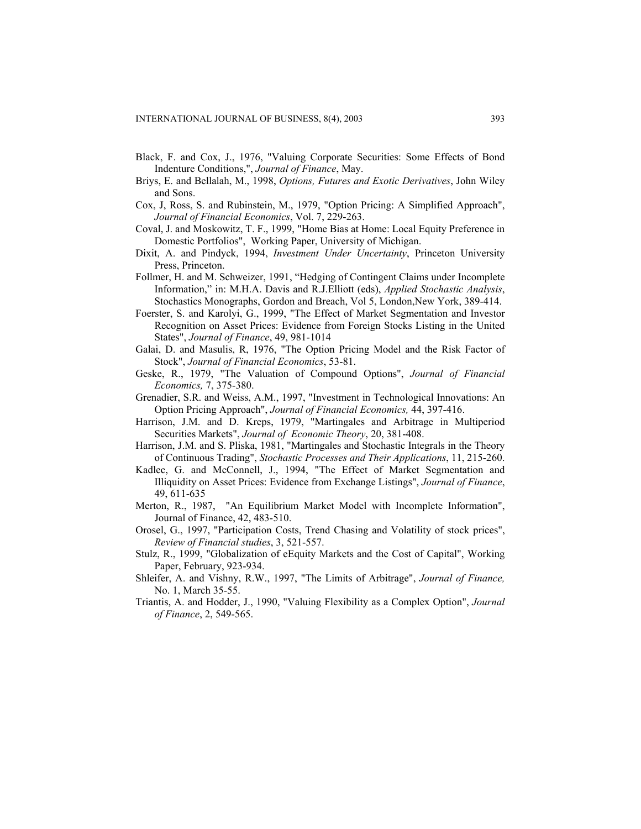- Black, F. and Cox, J., 1976, "Valuing Corporate Securities: Some Effects of Bond Indenture Conditions,", *Journal of Finance*, May.
- Briys, E. and Bellalah, M., 1998, *Options, Futures and Exotic Derivatives*, John Wiley and Sons.
- Cox, J, Ross, S. and Rubinstein, M., 1979, "Option Pricing: A Simplified Approach", *Journal of Financial Economics*, Vol. 7, 229-263.
- Coval, J. and Moskowitz, T. F., 1999, "Home Bias at Home: Local Equity Preference in Domestic Portfolios", Working Paper, University of Michigan.
- Dixit, A. and Pindyck, 1994, *Investment Under Uncertainty*, Princeton University Press, Princeton.
- Follmer, H. and M. Schweizer, 1991, "Hedging of Contingent Claims under Incomplete Information," in: M.H.A. Davis and R.J.Elliott (eds), *Applied Stochastic Analysis*, Stochastics Monographs, Gordon and Breach, Vol 5, London,New York, 389-414.
- Foerster, S. and Karolyi, G., 1999, "The Effect of Market Segmentation and Investor Recognition on Asset Prices: Evidence from Foreign Stocks Listing in the United States", *Journal of Finance*, 49, 981-1014
- Galai, D. and Masulis, R, 1976, "The Option Pricing Model and the Risk Factor of Stock", *Journal of Financial Economics*, 53-81.
- Geske, R., 1979, "The Valuation of Compound Options", *Journal of Financial Economics,* 7, 375-380.
- Grenadier, S.R. and Weiss, A.M., 1997, "Investment in Technological Innovations: An Option Pricing Approach", *Journal of Financial Economics,* 44, 397-416.
- Harrison, J.M. and D. Kreps, 1979, "Martingales and Arbitrage in Multiperiod Securities Markets", *Journal of Economic Theory*, 20, 381-408.
- Harrison, J.M. and S. Pliska, 1981, "Martingales and Stochastic Integrals in the Theory of Continuous Trading", *Stochastic Processes and Their Applications*, 11, 215-260.
- Kadlec, G. and McConnell, J., 1994, "The Effect of Market Segmentation and Illiquidity on Asset Prices: Evidence from Exchange Listings", *Journal of Finance*, 49, 611-635
- Merton, R., 1987, "An Equilibrium Market Model with Incomplete Information", Journal of Finance, 42, 483-510.
- Orosel, G., 1997, "Participation Costs, Trend Chasing and Volatility of stock prices", *Review of Financial studies*, 3, 521-557.
- Stulz, R., 1999, "Globalization of eEquity Markets and the Cost of Capital", Working Paper, February, 923-934.
- Shleifer, A. and Vishny, R.W., 1997, "The Limits of Arbitrage", *Journal of Finance,*  No. 1, March 35-55.
- Triantis, A. and Hodder, J., 1990, "Valuing Flexibility as a Complex Option", *Journal of Finance*, 2, 549-565.